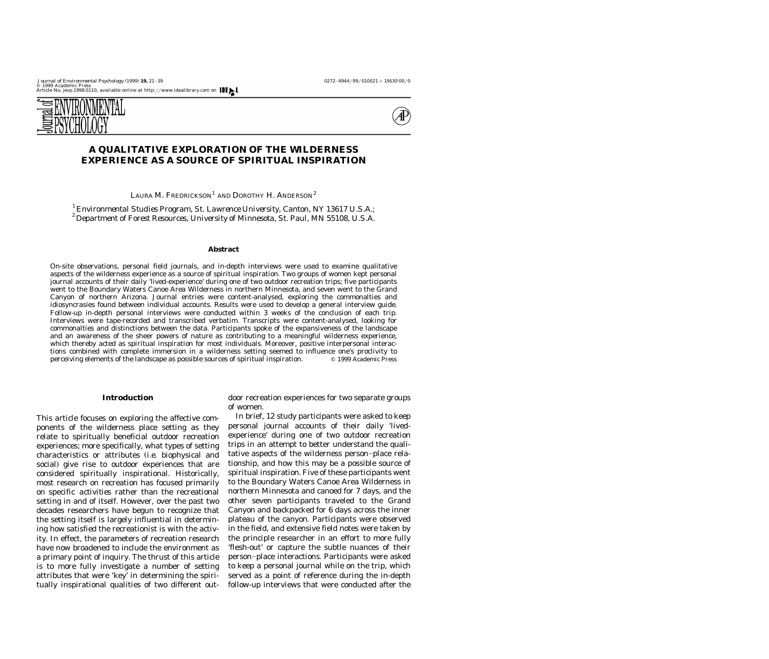



# **A QUALITATIVE EXPLORATION OF THE WILDERNESS EXPERIENCE AS A SOURCE OF SPIRITUAL INSPIRATION**

LAURA M. FREDRICKSON<sup>1</sup> AND DOROTHY H. ANDERSON<sup>2</sup>

*<sup>1</sup> Environmental Studies Program, St. Lawrence University, Canton, NY 13617 U.S.A.; <sup>2</sup> Department of Forest Resources, University of Minnesota, St. Paul, MN 55108, U.S.A.*

#### **Abstract**

On-site observations, personal field journals, and in-depth interviews were used to examine qualitative aspects of the wilderness experience as a source of spiritual inspiration. Two groups of women kept personal journal accounts of their daily 'lived-experience' during one of two outdoor recreation trips; five participants went to the Boundary Waters Canoe Area Wilderness in northern Minnesota, and seven went to the Grand Canyon of northern Arizona. Journal entries were content-analysed, exploring the commonalties and idiosyncrasies found between individual accounts. Results were used to develop a general interview guide. Follow-up in-depth personal interviews were conducted within 3 weeks of the conclusion of each trip. Interviews were tape-recorded and transcribed verbatim. Transcripts were content-analysed, looking for commonalties and distinctions between the data. Participants spoke of the expansiveness of the landscape and an awareness of the sheer powers of nature as contributing to a meaningful wilderness experience, which thereby acted as spiritual inspiration for most individuals. Moreover, positive interpersonal interactions combined with complete immersion in a wilderness setting seemed to influence one's proclivity to perceiving elements of the landscape as possible sources of spiritual inspiration. Q 1999 Academic Press

### **Introduction**

This article focuses on exploring the affective components of the wilderness place setting as they relate to spiritually beneficial outdoor recreation experiences; more specifically, what types of setting characteristics or attributes (i.e. biophysical and social) give rise to outdoor experiences that are considered spiritually inspirational. Historically, most research on recreation has focused primarily on specific *activities* rather than the recreational setting in and of itself. However, over the past two decades researchers have begun to recognize that the setting itself is largely influential in determining how satisfied the recreationist is with the activity. In effect, the parameters of recreation research have now broadened to include the environment as a primary point of inquiry. The thrust of this article is to more fully investigate a number of setting attributes that were 'key' in determining the spiritually inspirational qualities of two different outdoor recreation experiences for two separate groups of women.

In brief, 12 study participants were asked to keep personal journal accounts of their daily 'livedexperience' during one of two outdoor recreation trips in an attempt to better understand the qualitative aspects of the wilderness person-place relationship, and how this may be a possible source of spiritual inspiration. Five of these participants went to the Boundary Waters Canoe Area Wilderness in northern Minnesota and canoed for 7 days, and the other seven participants traveled to the Grand Canyon and backpacked for 6 days across the inner plateau of the canyon. Participants were observed in the field, and extensive field notes were taken by the principle researcher in an effort to more fully 'flesh-out' or capture the subtle nuances of their person-place interactions. Participants were asked to keep a personal journal while on the trip, which served as a point of reference during the in-depth follow-up interviews that were conducted after the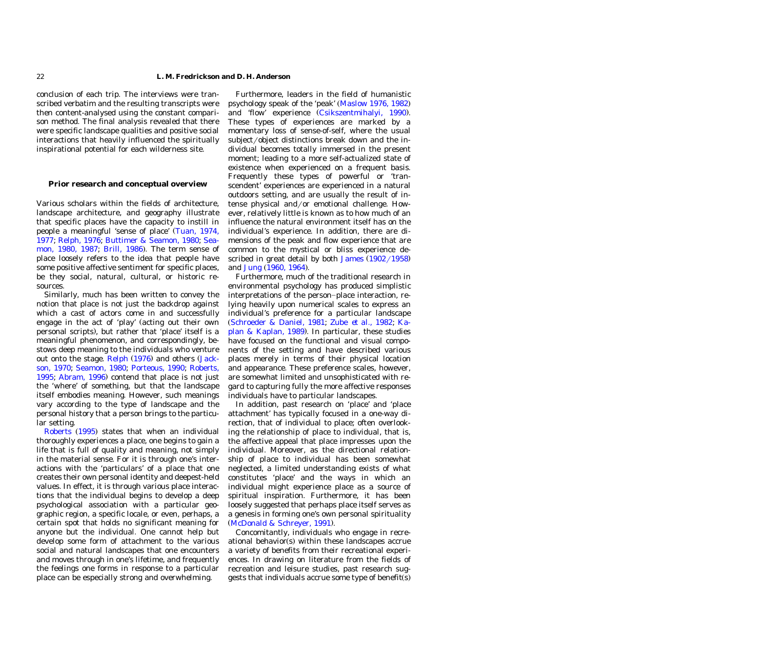conclusion of each trip. The interviews were transcribed verbatim and the resulting transcripts were then content-analysed using the constant comparison method. The final analysis revealed that there were specific landscape qualities and positive social interactions that heavily influenced the spiritually inspirational potential for each wilderness site.

### **Prior research and conceptual overview**

Various scholars within the fields of architecture, landscape architecture, and geography illustrate that specific places have the capacity to instill in people a meaningful 'sense of place' ([Tuan,](#page-18-0) 1974, [1977](#page-18-0); [Relph,](#page-18-0) 1976; [Buttimer](#page-18-0) & Seamon, 1980; [Sea-](#page-18-0)mon, [1980,](#page-18-0) 1987; [Brill,](#page-18-0) 1986). The term sense of place loosely refers to the idea that people have some positive affective sentiment for specific places, be they social, natural, cultural, or historic resources.

Similarly, much has been written to convey the notion that place is not just the backdrop against which a cast of actors come in and successfully engage in the act of 'play' (acting out their own personal scripts., but rather that 'place' itself is a meaningful phenomenon, and correspondingly, bestows deep meaning to the individuals who venture out onto the stage. Relph  $(1976)$  and others  $(Jack-)$ son, [1970;](#page-18-0) [Seamon,](#page-18-0) 1980; [Porteous,](#page-18-0) 1990; [Roberts,](#page-18-0) [1995;](#page-18-0) [Abram,](#page-18-0) 1996) contend that place is not just the 'where' of something, but that the landscape itself embodies meaning. However, such meanings vary according to the type of landscape and the personal history that a person brings to the particular setting.

[Roberts](#page-18-0) (1995) states that when an individual thoroughly experiences a place, one begins to gain a life that is full of quality and meaning, not simply in the material sense. For it is through one's interactions with the 'particulars' of a place that one creates their own personal identity and deepest-held values. In effect, it is through various place interactions that the individual begins to develop a deep psychological association with a particular geographic region, a specific locale, or even, perhaps, a certain spot that holds no significant meaning for anyone but the individual. One cannot help but develop some form of attachment to the various social and natural landscapes that one encounters and moves through in one's lifetime, and frequently the feelings one forms in response to a particular place can be especially strong and overwhelming.

Furthermore, leaders in the field of humanistic psychology speak of the 'peak' (Maslow 1976, 1982) and 'flow' experience (Csikszentmihalyi, 1990). These types of experiences are marked by a momentary loss of sense-of-self, where the usual subject/object distinctions break down and the individual becomes totally immersed in the present moment; leading to a more self-actualized state of existence when experienced on a frequent basis. Frequently these types of powerful or 'transcendent' experiences are experienced in a natural outdoors setting, and are usually the result of intense physical and/or emotional challenge. However, relatively little is known as to how much of an influence the natural environment itself has on the individual's experience. In addition, there are dimensions of the peak and flow experience that are common to the mystical or bliss experience described in great detail by both James  $(1902/1958)$ and Jung (1960, 1964).

Furthermore, much of the traditional research in environmental psychology has produced simplistic interpretations of the person-place interaction, relying heavily upon numerical scales to express an individual's preference for a particular landscape Ž[Schroeder](#page-18-0) & Daniel, 1981; Zube *et al*., [1982;](#page-18-0) [Ka-](#page-18-0)plan & [Kaplan,](#page-18-0) 1989). In particular, these studies have focused on the functional and visual components of the setting and have described various places merely in terms of their physical location and appearance. These preference scales, however, are somewhat limited and unsophisticated with regard to capturing fully the more affective responses individuals have to particular landscapes.

In addition, past research on 'place' and 'place attachment' has typically focused in a one-way direction, that of individual to place; often overlooking the relationship of place to individual, that is, the affective appeal that place impresses *upon* the individual. Moreover, as the directional relationship of place to individual has been somewhat neglected, a limited understanding exists of what constitutes 'place' and the ways in which an individual might experience place as a source of spiritual inspiration. Furthermore, it has been loosely suggested that perhaps place itself serves as a genesis in forming one's own personal spirituality (McDonald & Schreyer, 1991).

Concomitantly, individuals who engage in recreational behavior(s) within these landscapes accrue a variety of benefits from their recreational experiences. In drawing on literature from the fields of recreation and leisure studies, past research suggests that individuals accrue some type of benefit( $s$ )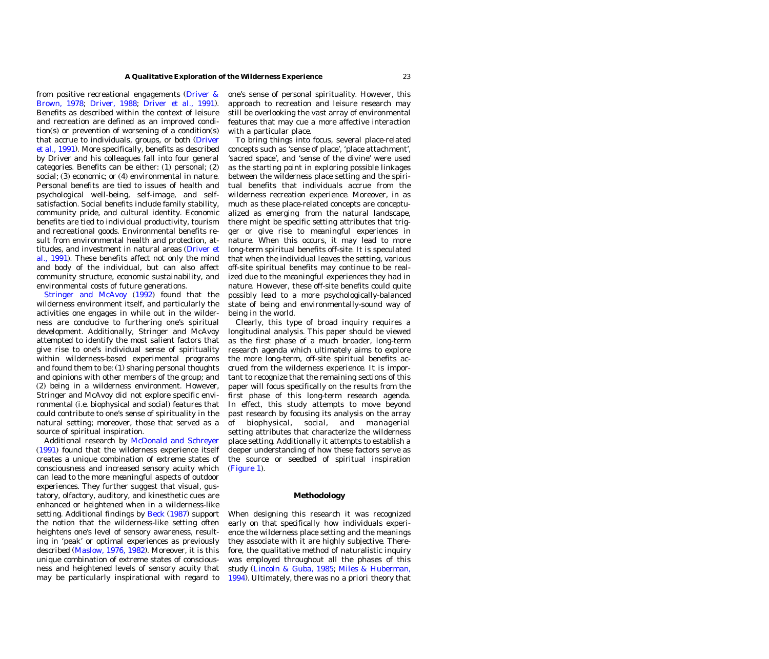from positive recreational engagements ([Driver](#page-18-0)  $\&$ [Brown,](#page-18-0) 1978; [Driver,](#page-18-0) 1988; [Driver](#page-18-0) *et al*., 1991.. Benefits as described within the context of leisure and recreation are defined as an improved condi $tion(s)$  or prevention of worsening of a condition $(s)$ that accrue to individuals, groups, or both ([Driver](#page-18-0) *et al.*, [1991](#page-18-0)). More specifically, benefits as described by Driver and his colleagues fall into four general categories. Benefits can be either:  $(1)$  personal;  $(2)$ social;  $(3)$  economic; or  $(4)$  environmental in nature. Personal benefits are tied to issues of health and psychological well-being, self-image, and selfsatisfaction. Social benefits include family stability, community pride, and cultural identity. Economic benefits are tied to individual productivity, tourism and recreational goods. Environmental benefits result from environmental health and protection, at-titudes, and investment in natural areas ([Driver](#page-18-0) *et al.*, [1991](#page-18-0)). These benefits affect not only the mind and body of the individual, but can also affect community structure, economic sustainability, and environmental costs of future generations.

[Stringer](#page-18-0) and McAvoy (1992) found that the wilderness environment itself, and particularly the activities one engages in while out in the wilderness are conducive to furthering one's spiritual development. Additionally, Stringer and McAvoy attempted to identify the most salient factors that give rise to one's individual sense of spirituality within wilderness-based experimental programs and found them to be:  $(1)$  sharing personal thoughts and opinions with other members of the group; and  $(2)$  being in a wilderness environment. However, Stringer and McAvoy did *not* explore specific environmental (i.e. biophysical and social) features that could contribute to one's sense of spirituality in the natural setting; moreover, those that served as a source of spiritual inspiration.

Additional research by [McDonald](#page-18-0) and Schreyer  $(1991)$  found that the wilderness experience itself creates a unique combination of extreme states of consciousness and increased sensory acuity which can lead to the more *meaningful* aspects of outdoor experiences. They further suggest that visual, gustatory, olfactory, auditory, and kinesthetic cues are enhanced or heightened when in a wilderness-like setting. Additional findings by Beck (1987) support the notion that the wilderness-like setting often heightens one's level of sensory awareness, resulting in 'peak' or optimal experiences as previously described (Maslow, 1976, 1982). Moreover, it is this unique combination of extreme states of consciousness and heightened levels of sensory acuity that may be particularly inspirational with regard to

one's sense of personal spirituality. However, this approach to recreation and leisure research may still be overlooking the vast array of environmental features that may cue a more affective interaction with a particular place.

To bring things into focus, several place-related concepts such as 'sense of place', 'place attachment', 'sacred space', and 'sense of the divine' were used as the starting point in exploring possible linkages between the wilderness place setting and the spiritual benefits that individuals accrue from the wilderness recreation experience. Moreover, in as much as these place-related concepts are conceptualized as emerging *from* the natural landscape, there might be specific setting attributes that trigger or give rise to *meaningful* experiences in nature. When this occurs, it may lead to more long-term spiritual benefits off-site. It is speculated that when the individual leaves the setting, various off-site spiritual benefits may continue to be realized due to the *meaningful* experiences they had in nature. However, these off-site benefits could quite possibly lead to a more psychologically-balanced state of being and environmentally-sound way of being in the world.

Clearly, this type of broad inquiry requires a longitudinal analysis. This paper should be viewed as the first phase of a much broader, long-term research agenda which ultimately aims to explore the more long-term, off-site spiritual benefits accrued from the wilderness experience. It is important to recognize that the remaining sections of this paper will focus specifically on the results from the first phase of this long-term research agenda. In effect, this study attempts to move beyond past research by focusing its analysis on the array of biophysical, social, and managerial setting attributes that characterize the wilderness place setting. Additionally it attempts to establish a deeper understanding of how these factors serve as the source or seedbed of spiritual inspiration  $(Figure 1)$ .

### **Methodology**

When designing this research it was recognized early on that specifically *how* individuals experience the wilderness place setting and the meanings they associate with it are highly subjective. Therefore, the qualitative method of naturalistic inquiry was employed throughout all the phases of this study ([Lincoln](#page-18-0) & Guba, 1985; Miles & [Huberman,](#page-18-0) [1994](#page-18-0)). Ultimately, there was no *a priori* theory that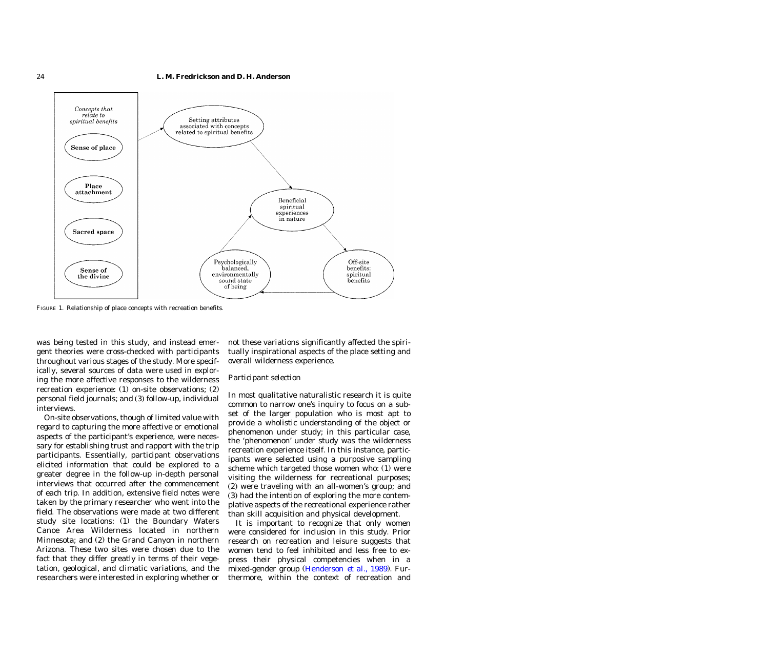<span id="page-3-0"></span>

FIGURE 1. Relationship of place concepts with recreation benefits.

was being tested in this study, and instead emergent theories were cross-checked with participants throughout various stages of the study. More specifically, several sources of data were used in exploring the more affective responses to the wilderness recreation experience:  $(1)$  on-site observations;  $(2)$ personal field journals; and (3) follow-up, individual interviews.

On-site observations, though of limited value with regard to capturing the more affective or emotional aspects of the participant's experience, were necessary for establishing trust and rapport with the trip participants. Essentially, participant observations elicited information that could be explored to a greater degree in the follow-up in-depth personal interviews that occurred after the commencement of each trip. In addition, extensive field notes were taken by the primary researcher who went into the field. The observations were made at two different study site locations: (1) the Boundary Waters Canoe Area Wilderness located in northern Minnesota: and (2) the Grand Canyon in northern Arizona. These two sites were chosen due to the fact that they differ greatly in terms of their vegetation, geological, and climatic variations, and the researchers were interested in exploring whether or

not these variations significantly affected the spiritually inspirational aspects of the place setting and overall wilderness experience.

### *Participant selection*

In most qualitative naturalistic research it is quite common to narrow one's inquiry to focus on a subset of the larger population who is most apt to provide a wholistic understanding of the object or phenomenon under study; in this particular case, the 'phenomenon' under study was the wilderness recreation experience itself. In this instance, participants were selected using a purposive sampling scheme which targeted those women who:  $(1)$  were visiting the wilderness for recreational purposes;  $(2)$  were traveling with an all-women's group; and  $(3)$  had the intention of exploring the more contemplative aspects of the recreational experience rather than skill acquisition and physical development.

It is important to recognize that only women were considered for inclusion in this study. Prior research on recreation and leisure suggests that women tend to feel inhibited and less free to express their physical competencies when in a mixed-gender group (Henderson *et al.*, 1989). Furthermore, within the context of recreation and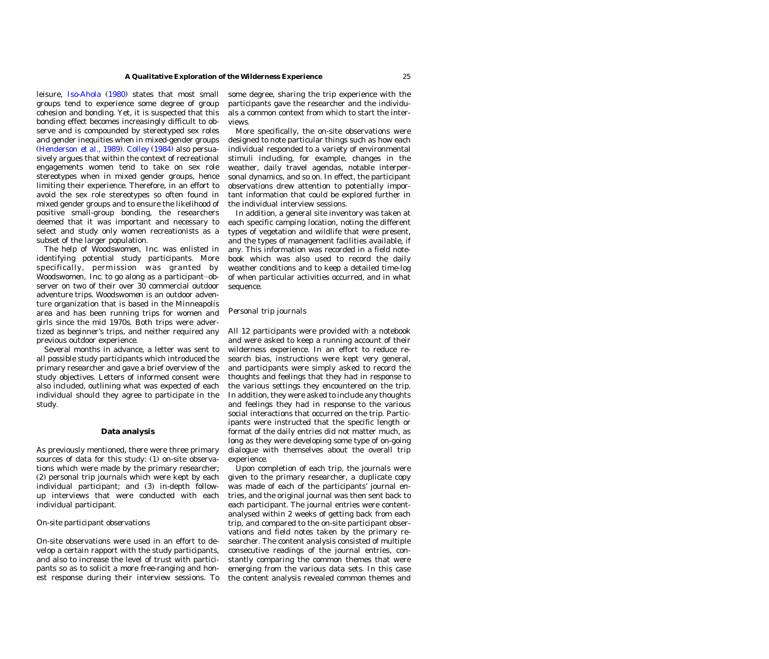leisure, [Iso-Ahola](#page-18-0) (1980) states that most small groups tend to experience some degree of group cohesion and bonding. Yet, it is suspected that this bonding effect becomes increasingly difficult to observe and is compounded by stereotyped sex roles and gender inequities when in mixed-gender groups ([Henderson](#page-18-0) *et al.*, 1989). [Colley](#page-18-0) (1984) also persuasively argues that within the context of recreational engagements women tend to take on sex role stereotypes when in mixed gender groups, hence limiting their experience. Therefore, in an effort to avoid the sex role stereotypes so often found in mixed gender groups and to ensure the likelihood of positive small-group bonding, the researchers deemed that it was important and necessary to select and study only women recreationists as a subset of the larger population.

The help of *Woodswomen*, *Inc*. was enlisted in identifying potential study participants. More specifically, permission was granted by *Woodswomen, Inc.* to go along as a participant-observer on two of their over 30 commercial outdoor adventure trips. *Woodswomen* is an outdoor adventure organization that is based in the Minneapolis area and has been running trips for women and girls since the mid 1970s. Both trips were advertized as beginner's trips, and neither required any previous outdoor experience.

Several months in advance, a letter was sent to all possible study participants which introduced the primary researcher and gave a brief overview of the study objectives. Letters of informed consent were also included, outlining what was expected of each individual should they agree to participate in the study.

### **Data analysis**

As previously mentioned, there were three primary sources of data for this study: (1) on-site observations which were made by the primary researcher;  $(2)$  personal trip journals which were kept by each individual participant; and (3) in-depth followup interviews that were conducted with each individual participant.

### *On-site participant observations*

On-site observations were used in an effort to develop a certain rapport with the study participants, and also to increase the level of trust with participants so as to solicit a more free-ranging and honest response during their interview sessions. To some degree, sharing the trip experience with the participants gave the researcher and the individuals a common context from which to start the interviews.

More specifically, the on-site observations were designed to note particular things such as how each individual responded to a variety of environmental stimuli including, for example, changes in the weather, daily travel agendas, notable interpersonal dynamics, and so on. In effect, the participant observations drew attention to potentially important information that could be explored further in the individual interview sessions.

In addition, a general site inventory was taken at each specific camping location, noting the different types of vegetation and wildlife that were present, and the types of management facilities available, if any. This information was recorded in a field notebook which was also used to record the daily weather conditions and to keep a detailed time-log of when particular activities occurred, and in what sequence.

# *Personal trip journals*

All 12 participants were provided with a notebook and were asked to keep a running account of their wilderness experience. In an effort to reduce research bias, instructions were kept very general, and participants were simply asked to record the thoughts and feelings that they had in response to the various settings they encountered on the trip. In addition, they were asked to include any thoughts and feelings they had in response to the various social interactions that occurred on the trip. Participants were instructed that the specific length or format of the daily entries did not matter much, as long as they were developing some type of on-going dialogue with themselves about the overall trip experience.

Upon completion of each trip, the journals were given to the primary researcher, a duplicate copy was made of each of the participants' journal entries, and the original journal was then sent back to each participant. The journal entries were contentanalysed within 2 weeks of getting back from each trip, and compared to the on-site participant observations and field notes taken by the primary researcher. The content analysis consisted of multiple consecutive readings of the journal entries, constantly comparing the common themes that were emerging from the various data sets. In this case the content analysis revealed common themes and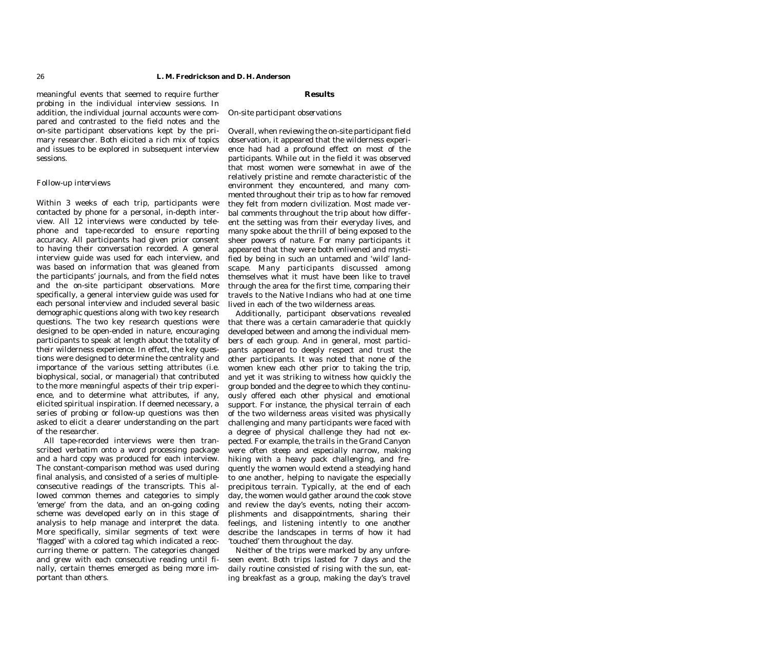meaningful events that seemed to require further probing in the individual interview sessions. In addition, the individual journal accounts were compared and contrasted to the field notes and the on-site participant observations kept by the primary researcher. Both elicited a rich mix of topics and issues to be explored in subsequent interview sessions.

# *Follow-up interviews*

Within 3 weeks of each trip, participants were contacted by phone for a personal, in-depth interview. All 12 interviews were conducted by telephone and tape-recorded to ensure reporting accuracy. All participants had given prior consent to having their conversation recorded. A general interview guide was used for each interview, and was based on information that was gleaned from the participants' journals, and from the field notes and the on-site participant observations. More specifically, a general interview guide was used for each personal interview and included several basic demographic questions along with two key research questions. The two key research questions were designed to be open-ended in nature, encouraging participants to speak at length about the totality of their wilderness experience. In effect, the key questions were designed to determine the centrality and importance of the various setting attributes (i.e. biophysical, social, or managerial) that contributed to the more *meaningful* aspects of their trip experience, and to determine what attributes, if any, elicited spiritual inspiration. If deemed necessary, a series of probing or follow-up questions was then asked to elicit a clearer understanding on the part of the researcher.

All tape-recorded interviews were then transcribed verbatim onto a word processing package and a hard copy was produced for each interview. The constant-comparison method was used during final analysis, and consisted of a series of multipleconsecutive readings of the transcripts. This allowed common themes and categories to simply 'emerge' from the data, and an on-going coding scheme was developed early on in this stage of analysis to help manage and interpret the data. More specifically, similar segments of text were 'flagged' with a colored tag which indicated a reoccurring theme or pattern. The categories changed and grew with each consecutive reading until finally, certain themes emerged as being more important than others.

### **Results**

### *On-site participant observations*

Overall, when reviewing the on-site participant field observation, it appeared that the wilderness experience had had a profound effect on most of the participants. While out in the field it was observed that most women were somewhat in awe of the relatively pristine and remote characteristic of the environment they encountered, and many commented throughout their trip as to how far removed they felt from modern civilization. Most made verbal comments throughout the trip about how different the setting was from their everyday lives, and many spoke about the thrill of being exposed to the sheer powers of nature. For many participants it appeared that they were both enlivened and mystified by being in such an untamed and 'wild' landscape. Many participants discussed among themselves what it must have been like to travel through the area for the first time, comparing their travels to the Native Indians who had at one time lived in each of the two wilderness areas.

Additionally, participant observations revealed that there was a certain camaraderie that quickly developed between and among the individual members of each group. And in general, most participants appeared to deeply respect and trust the other participants. It was noted that none of the women knew each other prior to taking the trip, and yet it was striking to witness how quickly the group bonded and the degree to which they continuously offered each other physical and emotional support. For instance, the physical terrain of each of the two wilderness areas visited was physically challenging and many participants were faced with a degree of physical challenge they had not expected. For example, the trails in the Grand Canyon were often steep and especially narrow, making hiking with a heavy pack challenging, and frequently the women would extend a steadying hand to one another, helping to navigate the especially precipitous terrain. Typically, at the end of each day, the women would gather around the cook stove and review the day's events, noting their accomplishments and disappointments, sharing their feelings, and listening intently to one another describe the landscapes in terms of how it had 'touched' them throughout the day.

Neither of the trips were marked by any unforeseen event. Both trips lasted for 7 days and the daily routine consisted of rising with the sun, eating breakfast as a group, making the day's travel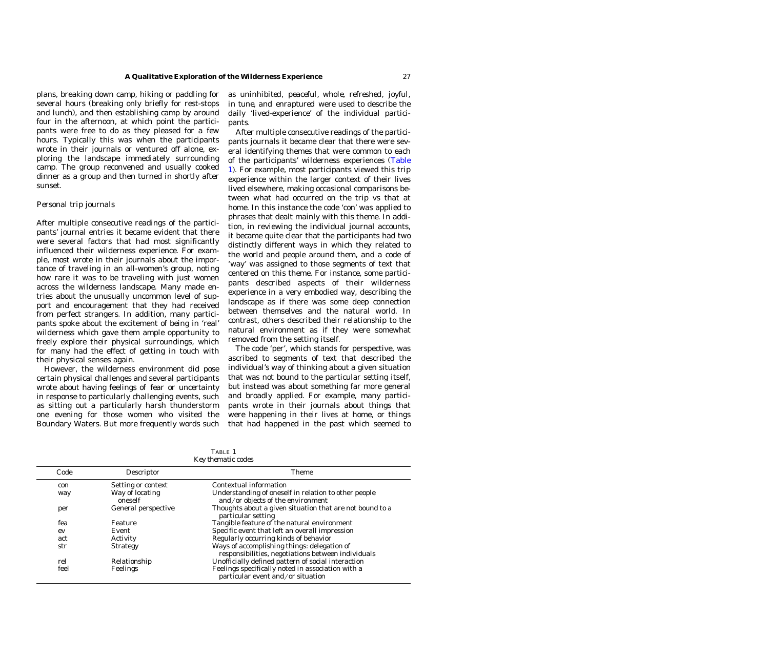plans, breaking down camp, hiking or paddling for several hours (breaking only briefly for rest-stops and lunch), and then establishing camp by around four in the afternoon, at which point the participants were free to do as they pleased for a few hours. Typically this was when the participants wrote in their journals or ventured off alone, exploring the landscape immediately surrounding camp. The group reconvened and usually cooked dinner as a group and then turned in shortly after sunset.

### *Personal trip journals*

After multiple consecutive readings of the participants' journal entries it became evident that there were several factors that had most significantly influenced their wilderness experience. For example, most wrote in their journals about the importance of traveling in an all-women's group, noting how rare it was to be traveling with just women across the wilderness landscape. Many made entries about the unusually uncommon level of support and encouragement that they had received from perfect strangers. In addition, many participants spoke about the excitement of being in 'real' wilderness which gave them ample opportunity to freely explore their physical surroundings, which for many had the effect of getting in touch with their physical senses again.

However, the wilderness environment did pose certain physical challenges and several participants wrote about having feelings of *fear* or *uncertainty* in response to particularly challenging events, such as sitting out a particularly harsh thunderstorm one evening for those women who visited the Boundary Waters. But more frequently words such

as *uninhibited*, *peaceful*, *whole*, *refreshed*, *joyful*, *in tune*, and *enraptured* were used to describe the daily 'lived-experience' of the individual participants.

After multiple consecutive readings of the participants journals it became clear that there were several identifying themes that were common to each of the participants' wilderness experiences (Table 1). For example, most participants viewed this trip experience within the larger context of their lives lived elsewhere, making occasional comparisons between what had occurred on the trip vs that at home. In this instance the code 'con' was applied to phrases that dealt mainly with this theme. In addition, in reviewing the individual journal accounts, it became quite clear that the participants had two distinctly different ways in which they related to the world and people around them, and a code of 'way' was assigned to those segments of text that centered on this theme. For instance, some participants described aspects of their wilderness experience in a very embodied way, describing the landscape as if there was some deep connection between themselves and the natural world. In contrast, others described their relationship to the natural environment as if they were somewhat removed from the setting itself.

The code 'per', which stands for perspective, was ascribed to segments of text that described the individual's way of thinking about a given situation that was not bound to the particular setting itself, but instead was about something far more general and broadly applied. For example, many participants wrote in their journals about things that were happening in their lives at home, or things that had happened in the past which seemed to

| Code | Descriptor                 | <b>Theme</b>                                                                                      |
|------|----------------------------|---------------------------------------------------------------------------------------------------|
| con  | Setting or context         | Contextual information                                                                            |
| way  | Way of locating<br>oneself | Understanding of oneself in relation to other people<br>and/or objects of the environment         |
| per  | General perspective        | Thoughts about a given situation that are not bound to a<br>particular setting                    |
| fea  | Feature                    | Tangible feature of the natural environment                                                       |
| ev   | Event                      | Specific event that left an overall impression                                                    |
| act  | Activity                   | Regularly occurring kinds of behavior                                                             |
| str  | <b>Strategy</b>            | Ways of accomplishing things: delegation of<br>responsibilities, negotiations between individuals |
| rel  | Relationship               | Unofficially defined pattern of social interaction                                                |
| feel | Feelings                   | Feelings specifically noted in association with a<br>particular event and/or situation            |

TABLE 1 *Key thematic codes*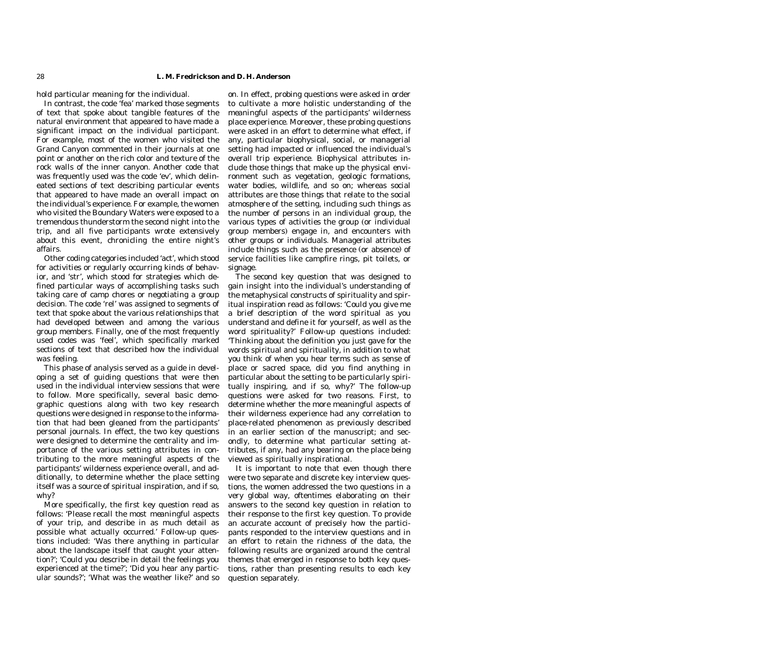hold particular meaning for the individual.

In contrast, the code 'fea' marked those segments of text that spoke about tangible features of the natural environment that appeared to have made a significant impact on the individual participant. For example, most of the women who visited the Grand Canyon commented in their journals at one point or another on the rich color and texture of the rock walls of the inner canyon. Another code that was frequently used was the code 'ev', which delineated sections of text describing particular events that appeared to have made an overall impact on the individual's experience. For example, the women who visited the Boundary Waters were exposed to a tremendous thunderstorm the second night into the trip, and all five participants wrote extensively about this event, chronicling the entire night's affairs.

Other coding categories included 'act', which stood for activities or regularly occurring kinds of behavior, and 'str', which stood for strategies which defined particular ways of accomplishing tasks such taking care of camp chores or negotiating a group decision. The code 'rel' was assigned to segments of text that spoke about the various relationships that had developed between and among the various group members. Finally, one of the most frequently used codes was 'feel', which specifically marked sections of text that described how the individual was feeling.

This phase of analysis served as a guide in developing a set of guiding questions that were then used in the individual interview sessions that were to follow. More specifically, several basic demographic questions along with two key research questions were designed in response to the information that had been gleaned from the participants' personal journals. In effect, the two key questions were designed to determine the centrality and importance of the various setting attributes in contributing to the more *meaningful* aspects of the participants' wilderness experience overall, and additionally, to determine whether the place setting itself was a source of spiritual inspiration, and if so, why?

More specifically, the first key question read as follows: 'Please recall the most *meaningful* aspects of your trip, and describe in as much detail as possible what actually occurred.' Follow-up questions included: 'Was there anything in particular about the landscape itself that caught your attention?'; 'Could you describe in detail the feelings you experienced at the time?'; 'Did you hear any particular sounds?'; 'What was the weather like?' and so

on. In effect, probing questions were asked in order to cultivate a more holistic understanding of the *meaningful* aspects of the participants' wilderness place experience. Moreover, these probing questions were asked in an effort to determine what effect, if any, particular biophysical, social, or managerial setting had impacted or influenced the individual's overall trip experience. Biophysical attributes include those things that make up the physical environment such as vegetation, geologic formations, water bodies, wildlife, and so on; whereas social attributes are those things that relate to the social atmosphere of the setting, including such things as the number of persons in an individual group, the various types of activities the group (or individual group members) engage in, and encounters with other groups or individuals. Managerial attributes include things such as the presence (or absence) of service facilities like campfire rings, pit toilets, or signage.

The second key question that was designed to gain insight into the individual's understanding of the metaphysical constructs of spirituality and spiritual inspiration read as follows: 'Could you give me a brief description of the word spiritual as you understand and define it for yourself, as well as the word spirituality?' Follow-up questions included: 'Thinking about the definition you just gave for the words spiritual and spirituality, in addition to what you think of when you hear terms such as sense of place or sacred space, did you find anything in particular about the setting to be particularly spiritually inspiring, and if so, why?' The follow-up questions were asked for two reasons. First, to determine whether the more meaningful aspects of their wilderness experience had any correlation to place-related phenomenon as previously described in an earlier section of the manuscript; and secondly, to determine what particular setting attributes, if any, had any bearing on the place being viewed as spiritually inspirational.

It is important to note that even though there were two separate and discrete key interview questions, the women addressed the two questions in a very global way, oftentimes elaborating on their answers to the second key question in relation to their response to the first key question. To provide an accurate account of precisely *how* the participants responded to the interview questions and in an effort to retain the richness of the data, the following results are organized around the central themes that emerged in response to *both* key questions, rather than presenting results to each key question separately.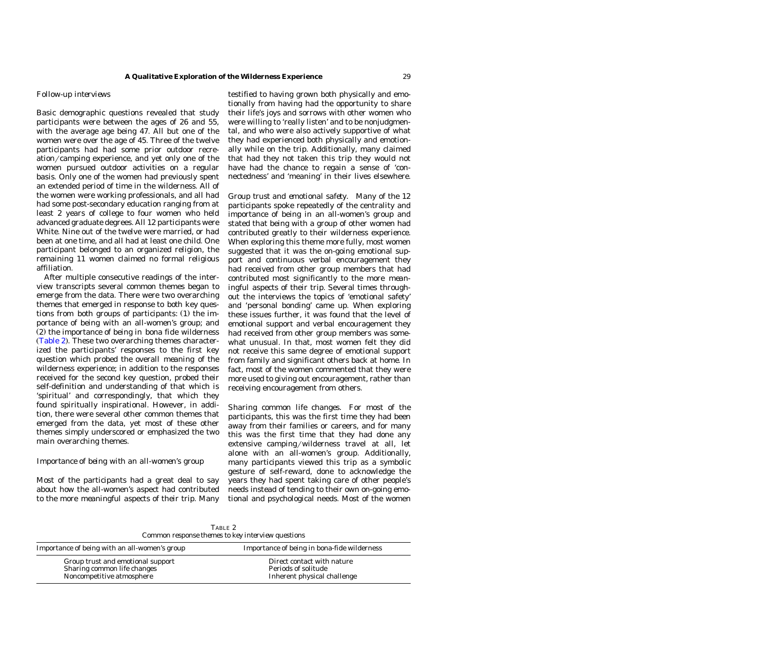### *Follow-up interviews*

Basic demographic questions revealed that study participants were between the ages of 26 and 55, with the average age being 47. All but one of the women were over the age of 45. Three of the twelve participants had had some prior outdoor recreation/camping experience, and yet only one of the women pursued outdoor activities on a regular basis. Only one of the women had previously spent an extended period of time in the wilderness. All of the women were working professionals, and all had had some post-secondary education ranging from at least 2 years of college to four women who held advanced graduate degrees. All 12 participants were White. Nine out of the twelve were married, or had been at one time, and all had at least one child. One participant belonged to an organized religion, the remaining 11 women claimed no formal religious affiliation.

After multiple consecutive readings of the interview transcripts several common themes began to emerge from the data. There were two overarching themes that emerged in response to *both* key questions from *both* groups of participants: (1) the importance of being with an all-women's group; and (2) the importance of being in *bona fide* wilderness (Table 2). These two overarching themes characterized the participants' responses to the first key question which probed the overall *meaning* of the wilderness experience; in addition to the responses received for the second key question, probed their self-definition and understanding of that which is 'spiritual' and correspondingly, that which they found spiritually inspirational. However, in addition, there were several other common themes that emerged from the data, yet most of these other themes simply underscored or emphasized the two main overarching themes.

## *Importance of being with an all-women's group*

Most of the participants had a great deal to say about how the all-women's aspect had contributed to the more *meaningful* aspects of their trip. Many testified to having grown both physically and emotionally from having had the opportunity to share their life's joys and sorrows with other women who were willing to 'really listen' and to be nonjudgmental, and who were also actively supportive of what they had experienced both physically and emotionally while on the trip. Additionally, many claimed that had they not taken this trip they would not have had the chance to regain a sense of 'connectedness' and 'meaning' in their lives elsewhere.

*Group trust and emotional safety.* Many of the 12 participants spoke repeatedly of the centrality and importance of being in an all-women's group and stated that being with a group of other women had contributed greatly to their wilderness experience. When exploring this theme more fully, most women suggested that it was the on-going emotional support and continuous verbal encouragement they had received from other group members that had contributed most significantly to the more *meaningful* aspects of their trip. Several times throughout the interviews the topics of 'emotional safety' and 'personal bonding' came up. When exploring these issues further, it was found that the level of emotional support and verbal encouragement they had received from other group members was somewhat unusual. In that, most women felt they did not receive this same degree of emotional support from family and significant others back at home. In fact, most of the women commented that they were more used to giving out encouragement, rather than receiving encouragement from others.

*Sharing common life changes.* For most of the participants, this was the first time they had been away from their families or careers, and for many this was the first time that they had done any extensive camping/wilderness travel at all, let alone with an all-women's group. Additionally, many participants viewed this trip as a symbolic gesture of self-reward, done to acknowledge the years they had spent taking care of other people's needs instead of tending to their own on-going emotional and psychological needs. Most of the women

*Common response themes to key interview questions* Importance of being with an all-women's group Importance of being in bona-fide wilderness Group trust and emotional support Theorem 2011 Direct contact with nature Sharing common life changes **Periods** Periods of solitude Noncompetitive atmosphere **Inherent physical challenge** 

TABLE 2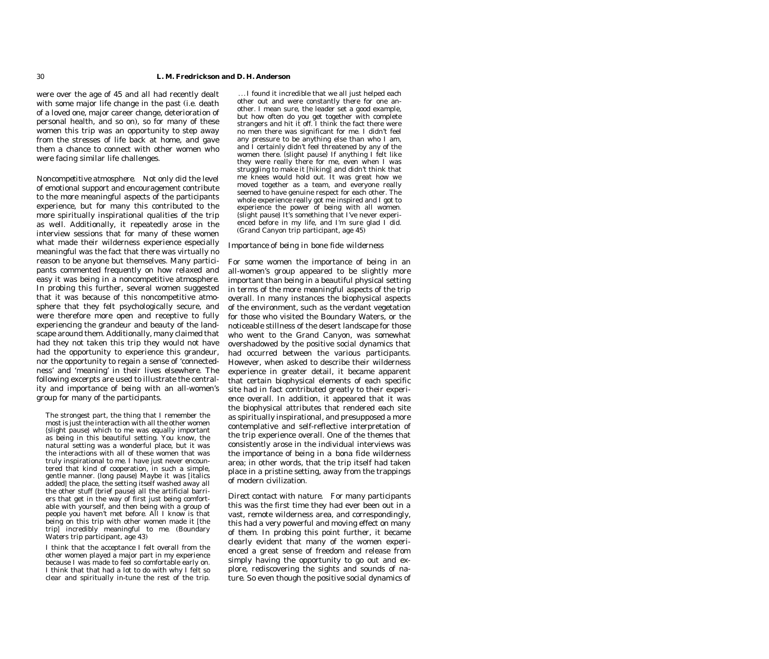were over the age of 45 and all had recently dealt with some major life change in the past (i.e. death of a loved one, major career change, deterioration of personal health, and so on), so for many of these women this trip was an opportunity to step away from the stresses of life back at home, and gave them a chance to connect with other women who were facing similar life challenges.

*Noncompetitive atmosphere.* Not only did the level of emotional support and encouragement contribute to the more meaningful aspects of the participants experience, but for many this contributed to the more spiritually inspirational qualities of the trip as well. Additionally, it repeatedly arose in the interview sessions that for many of these women what made their wilderness experience especially meaningful was the fact that there was virtually no reason to be anyone but themselves. Many participants commented frequently on how relaxed and easy it was being in a noncompetitive atmosphere. In probing this further, several women suggested that it was because of this noncompetitive atmosphere that they felt psychologically secure, and were therefore more open and receptive to fully experiencing the grandeur and beauty of the landscape around them. Additionally, many claimed that had they not taken this trip they would not have had the opportunity to experience this grandeur, nor the opportunity to regain a sense of 'connectedness' and 'meaning' in their lives elsewhere. The following excerpts are used to illustrate the centrality and importance of being with an all-women's group for many of the participants.

The strongest part, the thing that I remember the most is just the interaction with all the other women {slight pause} which to me was equally important as being in this beautiful setting. You know, the natural setting was a wonderful place, but it was the interactions with all of these women that was truly inspirational to me. I have just never encountered that kind of cooperation, in such a simple, gentle manner. **{long pause}** Maybe it *was* [italics] added] the place, the setting itself washed away all the other stuff {brief pause} all the artificial barriers that get in the way of first just being comfortable with yourself, and then being with a group of people you haven't met before. All I know is that being on this trip with other women made it [the trip] incredibly meaningful to me. (Boundary Waters trip participant, age 43)

I think that the acceptance I felt overall from the other women played a major part in my experience because I was made to feel so comfortable early on. I think that that had a lot to do with why I felt so clear and spiritually in-tune the rest of the trip.

... I found it incredible that we all just helped each other out and were constantly there for one another. I mean sure, the leader set a good example, but how often do you get together with complete strangers and hit it off. I think the fact there were no men there was significant for me. I didn't feel any pressure to be anything else than who I am, and I certainly didn't feel threatened by any of the women there.  ${slight\; pause}$  If anything I felt like they were really there for me, even when I was struggling to make it [hiking] and didn't think that me knees would hold out. It was great how we moved together as a team, and everyone really seemed to have genuine respect for each other. The whole experience really got me inspired and I got to experience the power of being with all women. {slight pause} It's something that I've never experienced before in my life, and I'm sure glad I did.  $(Grand \text{ Canyon trip participant}, age 45)$ 

#### *Importance of being in* bone fide *wilderness*

For some women the importance of being in an all-women's group appeared to be slightly more important than being in a beautiful physical setting in terms of the more *meaningful* aspects of the trip overall. In many instances the biophysical aspects of the environment, such as the verdant vegetation for those who visited the Boundary Waters, or the noticeable stillness of the desert landscape for those who went to the Grand Canyon, was somewhat overshadowed by the positive social dynamics that had occurred between the various participants. However, when asked to describe their wilderness experience in greater detail, it became apparent that certain biophysical elements of each specific site had in fact contributed greatly to their experience overall. In addition, it appeared that it was the biophysical attributes that rendered each site as spiritually inspirational, and presupposed a more contemplative and self-reflective interpretation of the trip experience overall. One of the themes that consistently arose in the individual interviews was the importance of being in a *bona fide* wilderness area; in other words, that the trip itself had taken place in a pristine setting, away from the trappings of modern civilization.

*Direct contact with nature.* For many participants this was the first time they had ever been out in a vast, remote wilderness area, and correspondingly, this had a very powerful and moving effect on many of them. In probing this point further, it became clearly evident that many of the women experienced a great sense of freedom and release from simply having the opportunity to go out and explore, rediscovering the sights and sounds of nature. So even though the positive social dynamics of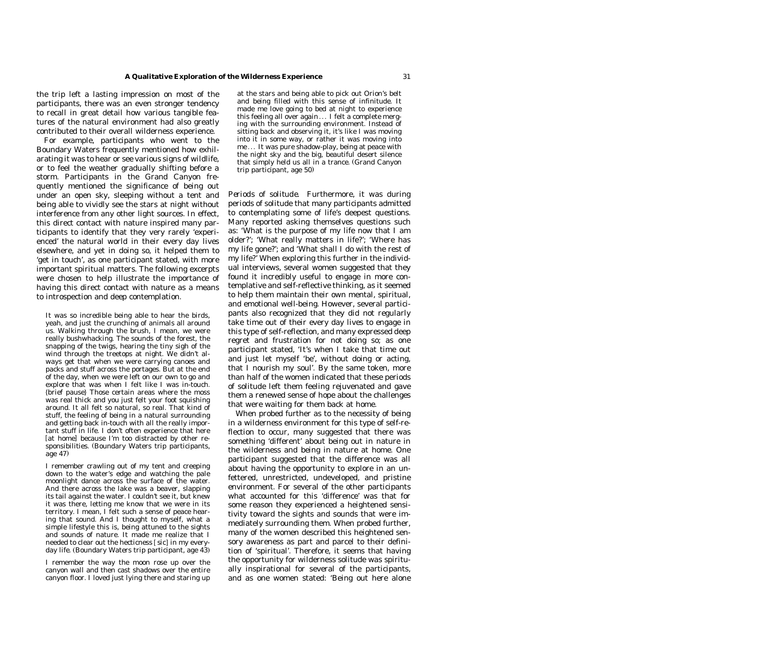the trip left a lasting impression on most of the participants, there was an even stronger tendency to recall in great detail how various tangible features of the natural environment had also greatly contributed to their overall wilderness experience.

For example, participants who went to the Boundary Waters frequently mentioned how exhilarating it was to hear or see various signs of wildlife, or to feel the weather gradually shifting before a storm. Participants in the Grand Canyon frequently mentioned the significance of being out under an open sky, sleeping without a tent and being able to vividly see the stars at night without interference from any other light sources. In effect, this direct contact with nature inspired many participants to identify that they very rarely 'experienced' the natural world in their every day lives elsewhere, and yet in doing so, it helped them to 'get in touch', as one participant stated, with more important spiritual matters. The following excerpts were chosen to help illustrate the importance of having this direct contact with nature as a means to introspection and deep contemplation.

It was so incredible being able to hear the birds, yeah, and just the crunching of animals all around us. Walking through the brush, I mean, we were really bushwhacking. The sounds of the forest, the snapping of the twigs, hearing the tiny sigh of the wind through the treetops at night. We didn't always get that when we were carrying canoes and packs and stuff across the portages. But at the end of the day, when we were left on our own to go and explore that was when I felt like I was in-touch. {brief pause} Those certain areas where the moss was real thick and you just felt your foot squishing around. It all felt so natural, so real. That kind of stuff, the feeling of being in a natural surrounding and getting back in-touch with all the really important stuff in life. I don't often experience that here [at home] because I'm too distracted by other responsibilities. (Boundary Waters trip participants, age 47)

I remember crawling out of my tent and creeping down to the water's edge and watching the pale moonlight dance across the surface of the water. And there across the lake was a beaver, slapping its tail against the water. I couldn't see it, but knew it was there, letting me know that we were in its territory. I mean, I felt such a sense of peace hearing that sound. And I thought to myself, what a simple lifestyle this is, being attuned to the sights and sounds of nature. It made me realize that I needed to clear out the hecticness [sic] in my everyday life. (Boundary Waters trip participant, age 43)

I remember the way the moon rose up over the canyon wall and then cast shadows over the entire canyon floor. I loved just lying there and staring up

at the stars and being able to pick out Orion's belt and being filled with this sense of infinitude. It made me love going to bed at night to experience this feeling all over again ... I felt a complete merging with the surrounding environment. Instead of sitting back and observing it, it's like I was moving into it in some way, or rather it was moving into me ... It was pure shadow-play, being at peace with the night sky and the big, beautiful desert silence that simply held us all in a trance. (Grand Canyon trip participant, age 50)

*Periods of solitude.* Furthermore, it was during periods of solitude that many participants admitted to contemplating some of life's deepest questions. Many reported asking themselves questions such as: 'What is the purpose of my life now that I am older?'; 'What really matters in life?'; 'Where has my life gone?'; and 'What shall I do with the rest of my life?' When exploring this further in the individual interviews, several women suggested that they found it incredibly useful to engage in more contemplative and self-reflective thinking, as it seemed to help them maintain their own mental, spiritual, and emotional well-being. However, several participants also recognized that they did not regularly take time out of their every day lives to engage in this type of self-reflection, and many expressed deep regret and frustration for not doing so; as one participant stated, 'It's when I take that time out and just let myself 'be', without doing or acting, that I nourish my soul'. By the same token, more than half of the women indicated that these periods of solitude left them feeling rejuvenated and gave them a renewed sense of hope about the challenges that were waiting for them back at home.

When probed further as to the necessity of being in a wilderness environment for this type of self-reflection to occur, many suggested that there was something 'different' about being out in nature in the wilderness and being in nature at home. One participant suggested that the difference was all about having the opportunity to explore in an unfettered, unrestricted, undeveloped, and pristine environment. For several of the other participants what accounted for this 'difference' was that for some reason they experienced a heightened sensitivity toward the sights and sounds that were immediately surrounding them. When probed further, many of the women described this heightened sensory awareness as part and parcel to their definition of 'spiritual'. Therefore, it seems that having the opportunity for wilderness solitude was spiritually inspirational for several of the participants, and as one women stated: 'Being out here alone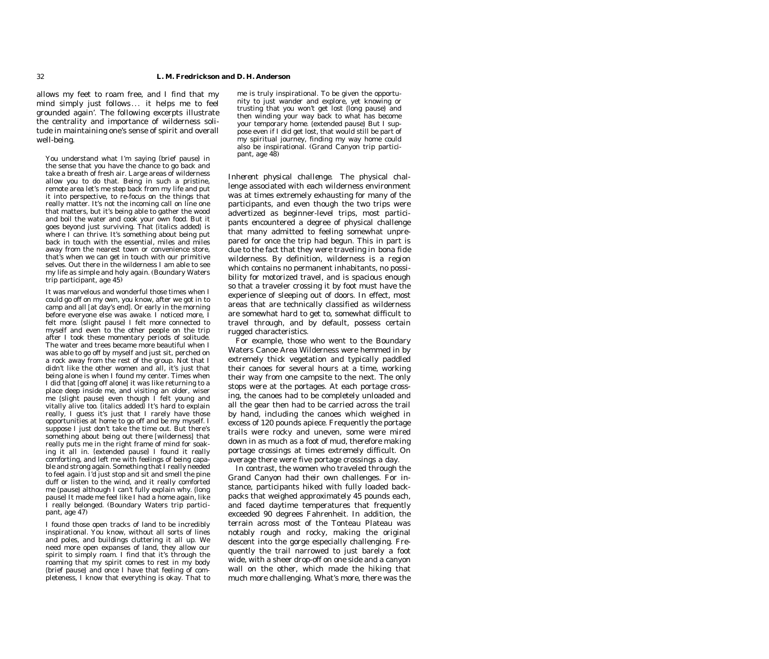allows my feet to roam free, and I find that my mind simply just follows ... it helps me to feel grounded again'. The following excerpts illustrate the centrality and importance of wilderness solitude in maintaining one's sense of spirit and overall well-being.

You understand what I'm saying {brief pause} in the sense that you have the chance to go back and take a breath of fresh air. Large areas of wilderness allow you to do that. Being in such a pristine, remote area let's me step back from my life and put it into perspective, to re-focus on the things that really matter. It's not the incoming call on line one that matters, but it's being able to gather the wood and boil the water and cook your own food. But it goes beyond just surviving. That {italics added} is where I can thrive. It's something about being put back in touch with the essential, miles and miles away from the nearest town or convenience store, that's when we can get in touch with our primitive selves. Out there in the wilderness I am able to see my life as simple and holy again. (Boundary Waters trip participant, age 45)

It was marvelous and wonderful those times when I could go off on my own, you know, after we got in to camp and all  $[at day's end]$ . Or early in the morning before everyone else was awake. I noticed more, I felt more.  ${slight\; pause}$  I felt more connected to myself and even to the other people on the trip after I took these momentary periods of solitude. The water and trees became more beautiful when I was able to go off by myself and just sit, perched on a rock away from the rest of the group. Not that I didn't like the other women and all, it's just that being alone is when I found my center. Times when I did that [going off alone] it was like returning to a place deep inside me, and visiting an older, wiser me  $\{slight$  pause  $\}$  even though I felt young and vitally alive *too*. {italics added} It's hard to explain really, I guess it's just that I rarely have those opportunities at home to go off and be my myself. I suppose I just don't take the time out. But there's something about being out there [wilderness] that really puts me in the right frame of mind for soaking it all in. {extended pause} I found it really comforting, and left me with feelings of being capable and strong again. Something that I really needed to feel again. I'd just stop and sit and smell the pine duff or listen to the wind, and it really comforted me {pause} although I can't fully explain why. {long pause} It made me feel like I had a home again, like I really belonged. (Boundary Waters trip participant, age 47)

I found those open tracks of land to be incredibly inspirational. You know, without all sorts of lines and poles, and buildings cluttering it all up. We need more open expanses of land, they allow our spirit to simply roam. I find that it's through the roaming that my spirit comes to rest in my body  $\{ \text{brief pause} \}$  and once I have that feeling of completeness, I know that everything is okay. That to

me is truly inspirational. To be given the opportunity to just wander and explore, yet knowing or trusting that you won't get lost {long pause} and then winding your way back to what has become your temporary home. {extended pause} But I suppose even if I did get lost, that would still be part of my spiritual journey, finding my way home could also be inspirational. (Grand Canyon trip participant, age 48.

*Inherent physical challenge.* The physical challenge associated with each wilderness environment was at times extremely exhausting for many of the participants, and even though the two trips were advertized as beginner-level trips, most participants encountered a degree of physical challenge that many admitted to feeling somewhat unprepared for once the trip had begun. This in part is due to the fact that they were traveling in *bona fide* wilderness. By definition, wilderness is a region which contains no permanent inhabitants, no possibility for motorized travel, and is spacious enough so that a traveler crossing it by foot must have the experience of sleeping out of doors. In effect, most areas that are technically classified as wilderness are somewhat hard to get to, somewhat difficult to travel through, and by default, possess certain rugged characteristics.

For example, those who went to the Boundary Waters Canoe Area Wilderness were hemmed in by extremely thick vegetation and typically paddled their canoes for several hours at a time, working their way from one campsite to the next. The only stops were at the portages. At each portage crossing, the canoes had to be completely unloaded and all the gear then had to be carried across the trail by hand, including the canoes which weighed in excess of 120 pounds apiece. Frequently the portage trails were rocky and uneven, some were mired down in as much as a foot of mud, therefore making portage crossings at times extremely difficult. On average there were five portage crossings a day.

In contrast, the women who traveled through the Grand Canyon had their own challenges. For instance, participants hiked with fully loaded backpacks that weighed approximately 45 pounds each, and faced daytime temperatures that frequently exceeded 90 degrees Fahrenheit. In addition, the terrain across most of the Tonteau Plateau was notably rough and rocky, making the original descent into the gorge especially challenging. Frequently the trail narrowed to just barely a foot wide, with a sheer drop-off on one side and a canyon wall on the other, which made the hiking that much more challenging. What's more, there was the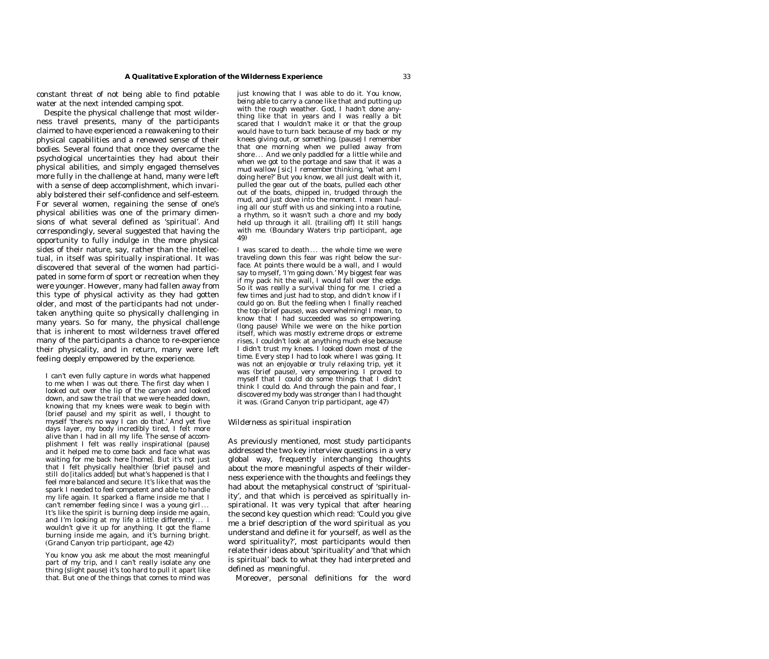constant threat of not being able to find potable water at the next intended camping spot.

Despite the physical challenge that most wilderness travel presents, many of the participants claimed to have experienced a reawakening to their physical capabilities and a renewed sense of their bodies. Several found that once they overcame the psychological uncertainties they had about their physical abilities, and simply engaged themselves more fully in the challenge at hand, many were left with a sense of deep accomplishment, which invariably bolstered their self-confidence and self-esteem. For several women, regaining the sense of one's physical abilities was one of the primary dimensions of what several defined as 'spiritual'. And correspondingly, several suggested that having the opportunity to fully indulge in the more physical sides of their nature, say, rather than the intellectual, in itself was spiritually inspirational. It was discovered that several of the women had participated in some form of sport or recreation when they were younger. However, many had fallen away from this type of physical activity as they had gotten older, and most of the participants had not undertaken anything quite so physically challenging in many years. So for many, the physical challenge that is inherent to most wilderness travel offered many of the participants a chance to re-experience their physicality, and in return, many were left feeling deeply empowered by the experience.

I can't even fully capture in words what happened to me when I was out there. The first day when I looked out over the lip of the canyon and looked down, and saw the trail that we were headed down, knowing that my knees were weak to begin with {brief pause} and my spirit as well, I thought to myself 'there's no way I can do that.' And yet five days layer, my body incredibly tired, I felt more alive than I had in all my life. The sense of accomplishment I felt was really inspirational  ${{p}$ ause} and it helped me to come back and face what was waiting for me back here [home]. But it's not just that  $I$  felt physically healthier {brief pause} and still *do* [italics added] but what's happened is that I feel more balanced and secure. It's like that was the spark I needed to feel competent and able to handle my life again. It sparked a flame inside me that I can't remember feeling since I was a young girl ... It's like the spirit is burning deep inside me again, and I'm looking at my life a little differently ... I wouldn't give it up for anything. It got the flame burning inside me again, and it's burning bright.  $(Grand$  Canyon trip participant, age  $42)$ 

You know you ask me about the most meaningful part of my trip, and I can't really isolate any one thing (slight pause) it's too hard to pull it apart like that. But one of the things that comes to mind was just knowing that I was able to do it. You know, being able to carry a canoe like that and putting up with the rough weather. God, I hadn't done anything like that in years and I was really a bit scared that I wouldn't make it or that the group would have to turn back because of my back or my knees giving out, or something. {pause} I remember that one morning when we pulled away from shore ... And we only paddled for a little while and when we got to the portage and saw that it was a mud wallow [sic] I remember thinking, 'what am I doing here?' But you know, we all just dealt with it, pulled the gear out of the boats, pulled each other out of the boats, chipped in, trudged through the mud, and just dove into the moment. I mean hauling all our stuff with us and sinking into a routine, a rhythm, so it wasn't such a chore and my body held up through it all. {trailing off} It still hangs with me. (Boundary Waters trip participant, age 49.

I was scared to death ... the whole time we were traveling down this fear was right below the surface. At points there would be a wall, and I would say to myself, 'I'm going down.' My biggest fear was if my pack hit the wall, I would fall over the edge. So it was really a survival thing for me. I cried a few times and just had to stop, and didn't know if I could go on. But the feeling when I finally reached the top (brief pause), was overwhelming! I mean, to know that I had succeeded was so empowering. (long pause) While we were on the hike portion itself, which was mostly extreme drops or extreme rises, I couldn't look at anything much else because I didn't trust my knees. I looked down most of the time. Every step I had to look where I was going. It was not an enjoyable or truly relaxing trip, yet it was (brief pause), very empowering. I proved to myself that I could do some things that I didn't think I could do. And through the pain and fear, I discovered my body was stronger than I had thought it was. (Grand Canyon trip participant, age  $47$ )

### *Wilderness as spiritual inspiration*

As previously mentioned, most study participants addressed the two key interview questions in a very global way, frequently interchanging thoughts about the more *meaningful* aspects of their wilderness experience with the thoughts and feelings they had about the metaphysical construct of 'spirituality', and that which is perceived as spiritually inspirational. It was very typical that after hearing the second key question which read: 'Could you give me a brief description of the word spiritual as you understand and define it for yourself, as well as the word spirituality?', most participants would then relate their ideas about 'spirituality' and 'that which is spiritual' back to what they had interpreted and defined as *meaningful*.

Moreover, personal definitions for the word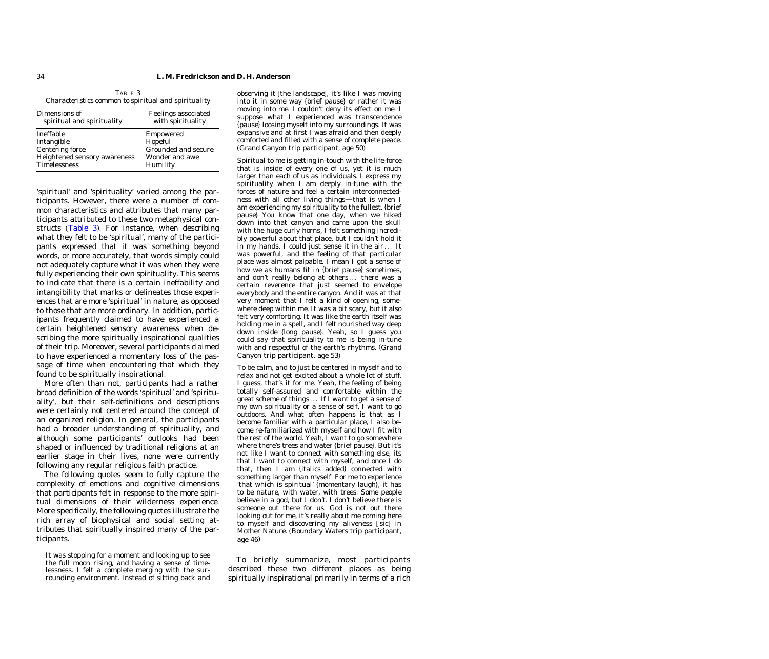|             | TABLE 3                                              |
|-------------|------------------------------------------------------|
|             | Characteristics common to spiritual and spirituality |
| nancione of | Foolings associated                                  |

 $\blacksquare$ 

| Dimensions of<br>spiritual and spirituality | <b>Feelings associated</b><br>with spirituality |
|---------------------------------------------|-------------------------------------------------|
| Ineffable                                   | <b>Empowered</b>                                |
| Intangible                                  | Hopeful                                         |
| <b>Centering force</b>                      | Grounded and secure                             |
| <b>Heightened sensory awareness</b>         | <b>Wonder and awe</b>                           |
| Timelessness                                | <b>Humility</b>                                 |
|                                             |                                                 |

'spiritual' and 'spirituality' varied among the participants. However, there were a number of common characteristics and attributes that many participants attributed to these two metaphysical constructs (Table 3). For instance, when describing what they felt to be 'spiritual', many of the participants expressed that it was something beyond words, or more accurately, that words simply could not adequately capture what it was when they were fully experiencing their own spirituality. This seems to indicate that there is a certain ineffability and intangibility that marks or delineates those experiences that are more 'spiritual' in nature, as opposed to those that are more ordinary. In addition, participants frequently claimed to have experienced a certain heightened sensory awareness when describing the more spiritually inspirational qualities of their trip. Moreover, several participants claimed to have experienced a momentary loss of the passage of time when encountering that which they found to be spiritually inspirational.

More often than not, participants had a rather broad definition of the words 'spiritual' and 'spirituality', but their self-definitions and descriptions were certainly not centered around the concept of an organized religion. In general, the participants had a broader understanding of spirituality, and although some participants' outlooks had been shaped or influenced by traditional religions at an earlier stage in their lives, none were currently following any regular religious faith practice.

The following quotes seem to fully capture the complexity of emotions and cognitive dimensions that participants felt in response to the more spiritual dimensions of their wilderness experience. More specifically, the following quotes illustrate the rich array of biophysical and social setting attributes that spiritually inspired many of the participants.

It was stopping for a moment and looking up to see the full moon rising, and having a sense of timelessness. I felt a complete merging with the surrounding environment. Instead of sitting back and

observing it [the landscape], it's like I was moving into it in some way {brief pause} or rather it was moving into me. I couldn't deny its effect on me. I suppose what I experienced was transcendence pause4 loosing myself into my surroundings. It was expansive and at first I was afraid and then deeply comforted and filled with a sense of complete peace. (Grand Canyon trip participant, age 50)

Spiritual to me is getting in-touch with the life-force that is inside of every one of us, yet it is much larger than each of us as individuals. I express my spirituality when I am deeply in-tune with the forces of nature and feel a certain interconnectedness with all other living things—that is when  $I$ am experiencing my spirituality to the fullest. {brief pause} You know that one day, when we hiked down into that canyon and came upon the skull with the huge curly horns, I felt something incredibly powerful about that place, but I couldn't hold it in my hands, I could just sense it in the air ... It was powerful, and the feeling of that particular place was almost palpable. I mean I got a sense of how we as humans fit in {brief pause} sometimes, and don't really belong at others... there was a certain reverence that just seemed to envelope everybody and the entire canyon. And it was at that very moment that I felt a kind of opening, somewhere deep within me. It was a bit scary, but it also felt very comforting. It was like the earth itself was holding me in a spell, and I felt nourished way deep down inside {long pause}. Yeah, so I guess you could say that spirituality to me is being in-tune with and respectful of the earth's rhythms. (Grand Canyon trip participant, age 53.

To be calm, and to just be centered in myself and to relax and not get excited about a whole lot of stuff. I guess, that's it for me. Yeah, the feeling of being totally self-assured and comfortable within the great scheme of things . . . If I want to get a sense of my own spirituality or a sense of self, I want to go outdoors. And what often happens is that as I become familiar with a particular place, I also become re-familiarized with myself and how I fit with the rest of the world. Yeah, I want to go somewhere where there's trees and water {brief pause}. But it's not like I want to connect with something else, its that I want to connect with myself, and once I do that, then I *am* {italics added} connected with something larger than myself. For me to experience 'that which is spiritual' {momentary laugh}, it has to be nature, with water, with trees. Some people believe in a god, but I don't. I don't believe there is someone out there for us. God is not out there looking out for me, it's really about me coming here to myself and discovering my aliveness [sic] in Mother Nature. (Boundary Waters trip participant, age  $46$ .

To briefly summarize, most participants described these two different places as being spiritually inspirational primarily in terms of a rich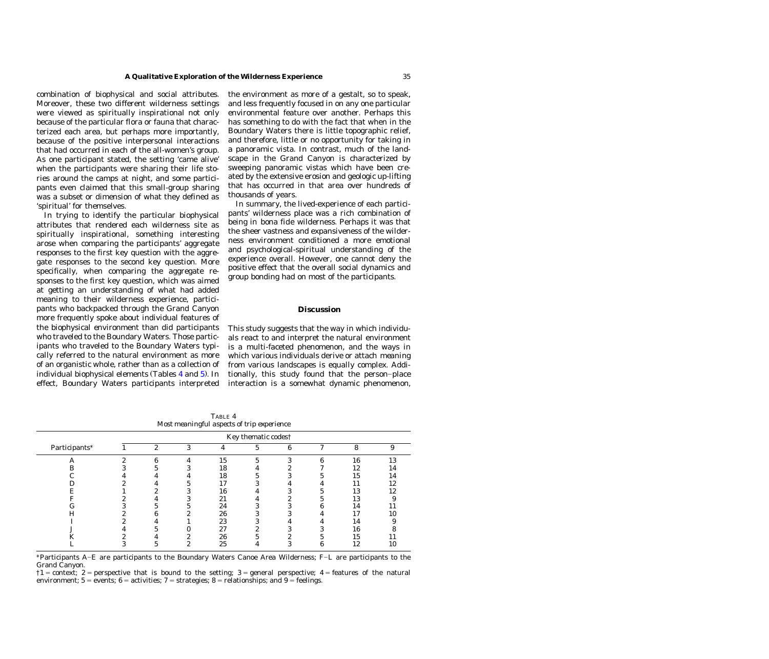combination of biophysical and social attributes. Moreover, these two different wilderness settings were viewed as spiritually inspirational not only because of the particular flora or fauna that characterized each area, but perhaps more importantly, because of the positive interpersonal interactions that had occurred in each of the all-women's group. As one participant stated, the setting 'came alive' when the participants were sharing their life stories around the camps at night, and some participants even claimed that this small-group sharing was a subset or dimension of what they defined as 'spiritual' for themselves.

In trying to identify the particular biophysical attributes that rendered each wilderness site as spiritually inspirational, something interesting arose when comparing the participants' aggregate responses to the first key question with the aggregate responses to the second key question. More specifically, when comparing the aggregate responses to the first key question, which was aimed at getting an understanding of what had added meaning to their wilderness experience, participants who backpacked through the Grand Canyon more frequently spoke about individual features of the biophysical environment than did participants who traveled to the Boundary Waters. Those participants who traveled to the Boundary Waters typically referred to the natural environment as more of an organistic whole, rather than as a collection of individual biophysical elements (Tables 4 and 5). In effect, Boundary Waters participants interpreted

the environment as more of a gestalt, so to speak, and less frequently focused in on any one particular environmental feature over another. Perhaps this has something to do with the fact that when in the Boundary Waters there is little topographic relief, and therefore, little or no opportunity for taking in a panoramic vista. In contrast, much of the landscape in the Grand Canyon is characterized by sweeping panoramic vistas which have been created by the extensive erosion and geologic up-lifting that has occurred in that area over hundreds of thousands of years.

In summary, the lived-experience of each participants' wilderness place was a rich combination of being in *bona fide* wilderness. Perhaps it was that the sheer vastness and expansiveness of the wilderness environment conditioned a more emotional and psychological-spiritual understanding of the experience overall. However, one cannot deny the positive effect that the overall social dynamics and group bonding had on most of the participants.

### **Discussion**

This study suggests that the way in which individuals react to and interpret the natural environment is a multi-faceted phenomenon, and the ways in which various individuals derive or attach *meaning* from various landscapes is equally complex. Additionally, this study found that the person-place interaction is a somewhat dynamic phenomenon,

|               |                     |   |   | <i>Most meaninguil aspects of trip experience</i> |   |   |  |    |    |
|---------------|---------------------|---|---|---------------------------------------------------|---|---|--|----|----|
|               | Key thematic codes† |   |   |                                                   |   |   |  |    |    |
| Participants* |                     | 2 | 3 | 4                                                 | 5 | 6 |  | 8  |    |
|               |                     |   |   | 15                                                |   |   |  | 16 | 13 |
|               |                     |   |   | 18                                                |   |   |  | 12 | 14 |
|               |                     |   |   | 18                                                |   |   |  | 15 | .4 |
|               |                     |   |   |                                                   |   |   |  |    | 12 |
|               |                     |   |   | 16                                                |   |   |  | 13 | 12 |
|               |                     |   |   | 21                                                |   |   |  | 13 |    |
|               |                     |   |   | 24                                                |   |   |  | 14 |    |
|               |                     |   |   | 26                                                |   |   |  | 17 | ١O |
|               |                     |   |   | 23                                                |   |   |  | 14 |    |
|               |                     |   |   | 27                                                |   |   |  | 16 |    |
|               |                     |   |   | 26                                                |   |   |  | 15 |    |
|               |                     |   |   | 25                                                |   |   |  | 12 | l0 |

TABLE  $\frac{4}{1}$ *Most meaningful aspects of trip experience*

\*Participants A–E are participants to the Boundary Waters Canoe Area Wilderness; F–L are participants to the Grand Canyon.

 $\dagger$ 1 = context; 2 = perspective that is bound to the setting; 3 = general perspective; 4 = features of the natural environment;  $5 =$  events;  $6 =$  activities;  $7 =$  strategies;  $8 =$  relationships; and  $9 =$  feelings.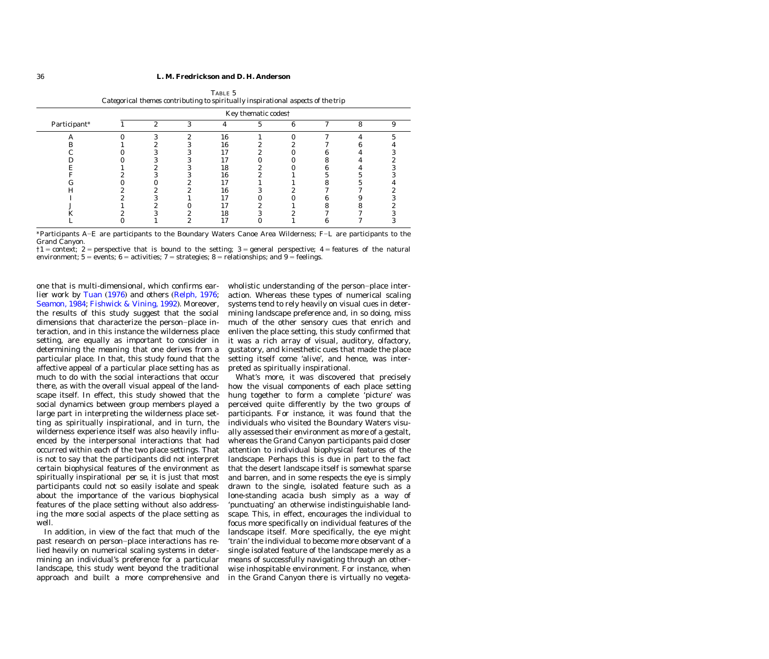#### <span id="page-15-0"></span>36 **L. M. Fredrickson and D. H. Anderson**

|              | Key thematic codes† |                  |   |        |   |   |    |   |   |
|--------------|---------------------|------------------|---|--------|---|---|----|---|---|
| Participant* |                     | $\boldsymbol{2}$ | 3 | 4      | 5 | 6 | r. | 8 | 9 |
|              |                     |                  | ົ | 16     |   |   |    |   |   |
|              |                     |                  |   | 16     |   |   |    |   |   |
|              |                     |                  |   | 17     |   |   |    |   |   |
|              |                     |                  |   | 17     |   |   |    |   |   |
|              |                     |                  |   | 18     |   |   |    |   |   |
|              |                     |                  |   | 16     |   |   |    |   |   |
|              |                     |                  |   | 17     |   |   |    |   |   |
|              |                     |                  |   | 16     |   |   |    |   |   |
|              |                     |                  |   | י י    |   |   |    |   |   |
|              |                     |                  |   | $\sim$ |   |   |    |   |   |
|              |                     |                  |   | 18     |   |   |    |   |   |
|              |                     |                  |   | r,     |   |   |    |   |   |

| TABLE 5                                                                          |  |  |
|----------------------------------------------------------------------------------|--|--|
| Categorical themes contributing to spiritually inspirational aspects of the trip |  |  |

\*Participants A–E are participants to the Boundary Waters Canoe Area Wilderness; F–L are participants to the Grand Canyon.

 $\dagger$ 1 = context; 2 = perspective that is bound to the setting; 3 = general perspective; 4 = features of the natural environment;  $5 =$  events;  $6 =$  activities;  $7 =$  strategies;  $8 =$  relationships; and  $9 =$  feelings.

one that is multi-dimensional, which confirms earlier work by Tuan  $(1976)$  and others  $(Relph, 1976;$  $(Relph, 1976;$  $(Relph, 1976;$ [Seamon,](#page-18-0) 1984; [Fishwick](#page-18-0) & Vining, 1992). Moreover, the results of this study suggest that the social dimensions that characterize the person-place interaction, and in this instance the wilderness place setting, are equally as important to consider in determining the *meaning* that one derives from a particular place. In that, this study found that the affective appeal of a particular place setting has as much to do with the social interactions that occur there, as with the overall visual appeal of the landscape itself. In effect, this study showed that the social dynamics between group members played a large part in interpreting the wilderness place setting as spiritually inspirational, and in turn, the wilderness experience itself was also heavily influenced by the interpersonal interactions that had occurred within each of the two place settings. That is not to say that the participants did not interpret certain biophysical features of the environment as spiritually inspirational *per se*, it is just that most participants could not so easily isolate and speak about the importance of the various biophysical features of the place setting without also addressing the more social aspects of the place setting as well.

In addition, in view of the fact that much of the past research on person-place interactions has relied heavily on numerical scaling systems in determining an individual's preference for a particular landscape, this study went beyond the traditional approach and built a more comprehensive and wholistic understanding of the person-place interaction. Whereas these types of numerical scaling systems tend to rely heavily on visual cues in determining landscape preference and, in so doing, miss much of the other sensory cues that enrich and enliven the place setting, this study confirmed that it was a rich array of visual, auditory, olfactory, gustatory, and kinesthetic cues that made the place setting itself come 'alive', and hence, was interpreted as spiritually inspirational.

What's more, it was discovered that precisely *how* the visual components of each place setting hung together to form a complete 'picture' was perceived quite differently by the two groups of participants. For instance, it was found that the individuals who visited the Boundary Waters visually assessed their environment as more of a gestalt, whereas the Grand Canyon participants paid closer attention to individual biophysical features of the landscape. Perhaps this is due in part to the fact that the desert landscape itself is somewhat sparse and barren, and in some respects the eye is simply drawn to the single, isolated feature such as a lone-standing acacia bush simply as a way of 'punctuating' an otherwise indistinguishable landscape. This, in effect, encourages the individual to focus more specifically on individual features of the landscape itself. More specifically, the eye might 'train' the individual to become more observant of a single isolated feature of the landscape merely as a means of successfully navigating through an otherwise inhospitable environment. For instance, when in the Grand Canyon there is virtually no vegeta-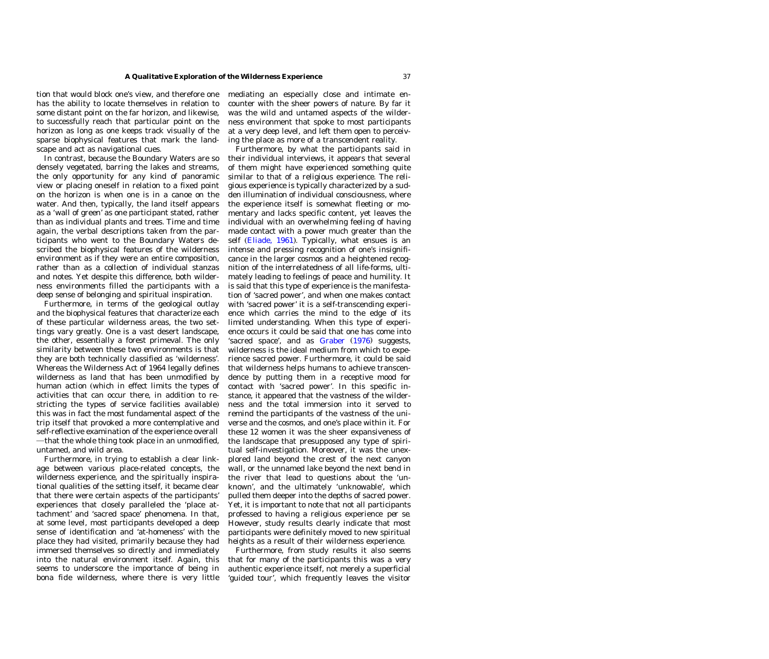tion that would block one's view, and therefore one has the ability to locate themselves in relation to some distant point on the far horizon, and likewise, to successfully reach that particular point on the horizon as long as one keeps track visually of the sparse biophysical features that mark the landscape and act as navigational cues.

In contrast, because the Boundary Waters are so densely vegetated, barring the lakes and streams, the only opportunity for any kind of panoramic view or placing oneself in relation to a fixed point on the horizon is when one is in a canoe on the water. And then, typically, the land itself appears as a 'wall of green' as one participant stated, rather than as individual plants and trees. Time and time again, the verbal descriptions taken from the participants who went to the Boundary Waters described the biophysical features of the wilderness environment as if they were an entire composition, rather than as a collection of individual stanzas and notes. Yet despite this difference, both wilderness environments filled the participants with a deep sense of belonging and spiritual inspiration.

Furthermore, in terms of the geological outlay and the biophysical features that characterize each of these particular wilderness areas, the two settings vary greatly. One is a vast desert landscape, the other, essentially a forest primeval. The only similarity between these two environments is that they are both technically classified as 'wilderness'. Whereas the Wilderness Act of 1964 legally defines wilderness as land that has been unmodified by human action (which in effect limits the types of activities that can occur there, in addition to restricting the types of service facilities available. this was in fact the most fundamental aspect of the trip itself that provoked a more contemplative and self-reflective examination of the experience overall  $\theta$  —that the whole thing took place in an unmodified, untamed, and wild area.

Furthermore, in trying to establish a clear linkage between various place-related concepts, the wilderness experience, and the spiritually inspirational qualities of the setting itself, it became clear that there were certain aspects of the participants' experiences that closely paralleled the 'place attachment' and 'sacred space' phenomena. In that, at some level, most participants developed a deep sense of identification and 'at-homeness' with the place they had visited, primarily because they had immersed themselves so directly and immediately into the natural environment itself. Again, this seems to underscore the importance of being in *bona fide* wilderness, where there is very little mediating an especially close and intimate encounter with the sheer powers of nature. By far it was the wild and untamed aspects of the wilderness environment that spoke to most participants at a very deep level, and left them open to perceiving the place as more of a transcendent reality.

Furthermore, by what the participants said in their individual interviews, it appears that several of them might have experienced something quite similar to that of a religious experience. The religious experience is typically characterized by a sudden illumination of individual consciousness, where the experience itself is somewhat fleeting or momentary and lacks specific content, yet leaves the individual with an overwhelming feeling of having made contact with a power much greater than the self (Eliade, 1961). Typically, what ensues is an intense and pressing recognition of one's insignificance in the larger cosmos and a heightened recognition of the interrelatedness of all life-forms, ultimately leading to feelings of peace and humility. It is said that this type of experience is the manifestation of 'sacred power', and when one makes contact with 'sacred power' it is a self-transcending experience which carries the mind to the edge of its limited understanding. When this type of experience occurs it could be said that one has come into 'sacred space', and as  $G$ raber  $(1976)$  suggests, wilderness is the ideal medium from which to experience sacred power. Furthermore, it could be said that wilderness helps humans to achieve transcendence by putting them in a receptive mood for contact with 'sacred power'. In this specific instance, it appeared that the vastness of the wilderness and the total immersion into it served to remind the participants of the vastness of the universe and the cosmos, and one's place within it. For these 12 women it was the sheer expansiveness of the landscape that presupposed any type of spiritual self-investigation. Moreover, it was the unexplored land beyond the crest of the next canyon wall, or the unnamed lake beyond the next bend in the river that lead to questions about the 'unknown', and the ultimately 'unknowable', which pulled them deeper into the depths of sacred power. Yet, it is important to note that not all participants professed to having a religious experience *per se*. However, study results clearly indicate that most participants were definitely moved to new spiritual heights as a result of their wilderness experience.

Furthermore, from study results it also seems that for many of the participants this was a very authentic experience itself, not merely a superficial 'guided tour', which frequently leaves the visitor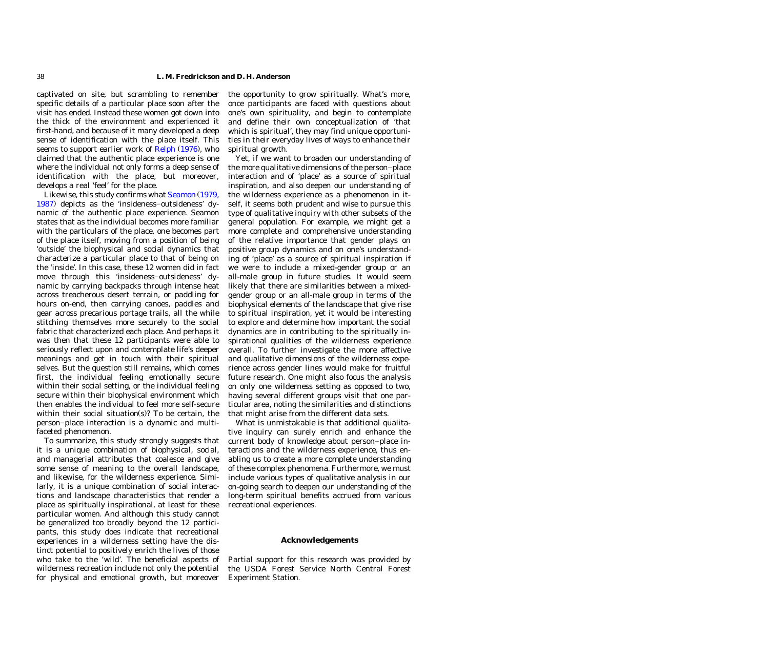captivated on site, but scrambling to remember specific details of a particular place soon after the visit has ended. Instead these women got down into the thick of the environment and experienced it first-hand, and because of it many developed a deep sense of identification with the place itself. This seems to support earlier work of Relph (1976), who claimed that the authentic place experience is one where the individual not only forms a deep sense of identification with the place, but moreover, develops a real 'feel' for the place.

Likewise, this study confirms what [Seamon](#page-18-0) (1979,  $1987$ ) depicts as the 'insideness-outsideness' dynamic of the authentic place experience. Seamon states that as the individual becomes more familiar with the particulars of the place, one becomes part of the place itself, moving from a position of being 'outside' the biophysical and social dynamics that characterize a particular place to that of being on the 'inside'. In this case, these 12 women did in fact move through this 'insideness-outsideness' dynamic by carrying backpacks through intense heat across treacherous desert terrain, or paddling for hours on-end, then carrying canoes, paddles and gear across precarious portage trails, all the while stitching themselves more securely to the social fabric that characterized each place. And perhaps it was then that these 12 participants were able to seriously reflect upon and contemplate life's deeper meanings and get in touch with their spiritual selves. But the question still remains, which comes first, the individual feeling emotionally secure within their social setting, or the individual feeling secure within their biophysical environment which then enables the individual to feel more self-secure within their social situation( $s$ )? To be certain, the person-place interaction is a dynamic and multifaceted phenomenon.

To summarize, this study strongly suggests that it is a unique combination of biophysical, social, and managerial attributes that coalesce and give some sense of meaning to the overall landscape, and likewise, for the wilderness experience. Similarly, it is a unique combination of social interactions and landscape characteristics that render a place as spiritually inspirational, at least for these particular women. And although this study cannot be generalized too broadly beyond the 12 participants, this study does indicate that recreational experiences in a wilderness setting have the distinct potential to positively enrich the lives of those who take to the 'wild'. The beneficial aspects of wilderness recreation include not only the potential for physical and emotional growth, but moreover the opportunity to grow spiritually. What's more, once participants are faced with questions about one's own spirituality, and begin to contemplate and define their own conceptualization of 'that which is spiritual', they may find unique opportunities in their everyday lives of ways to enhance their spiritual growth.

Yet, if we want to broaden our understanding of the more qualitative dimensions of the person-place interaction and of 'place' as a source of spiritual inspiration, and also deepen our understanding of the wilderness experience as a phenomenon in itself, it seems both prudent and wise to pursue this type of qualitative inquiry with other subsets of the general population. For example, we might get a more complete and comprehensive understanding of the relative importance that gender plays on positive group dynamics and on one's understanding of 'place' as a source of spiritual inspiration if we were to include a mixed-gender group or an all-male group in future studies. It would seem likely that there are similarities between a mixedgender group or an all-male group in terms of the biophysical elements of the landscape that give rise to spiritual inspiration, yet it would be interesting to explore and determine how important the social dynamics are in contributing to the spiritually inspirational qualities of the wilderness experience overall. To further investigate the more affective and qualitative dimensions of the wilderness experience across gender lines would make for fruitful future research. One might also focus the analysis on only *one* wilderness setting as opposed to two, having several different groups visit that one particular area, noting the similarities and distinctions that might arise from the different data sets.

What is unmistakable is that additional qualitative inquiry can surely enrich and enhance the current body of knowledge about person-place interactions and the wilderness experience, thus enabling us to create a more complete understanding of these complex phenomena. Furthermore, we must include various types of qualitative analysis in our on-going search to deepen our understanding of the long-term spiritual benefits accrued from various recreational experiences.

#### **Acknowledgements**

Partial support for this research was provided by the USDA Forest Service North Central Forest Experiment Station.